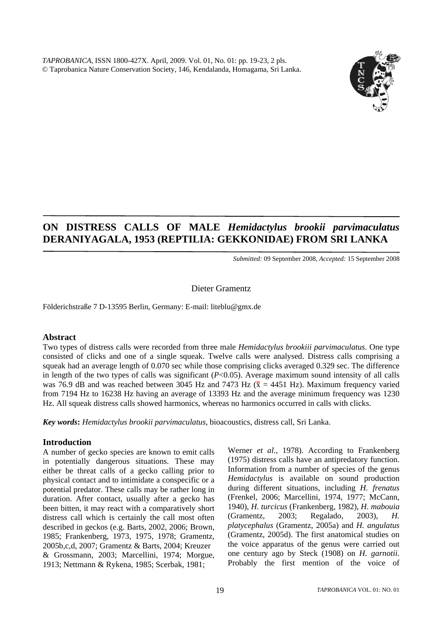

# **ON DISTRESS CALLS OF MALE** *Hemidactylus brookii parvimaculatus*  **DERANIYAGALA, 1953 (REPTILIA: GEKKONIDAE) FROM SRI LANKA**

*Submitted:* 09 September 2008*, Accepted:* 15 September 2008

#### Dieter Gramentz

Földerichstraße 7 D-13595 Berlin, Germany: E-mail: liteblu@gmx.de

### **Abstract**

Two types of distress calls were recorded from three male *Hemidactylus brookiii parvimaculatus*. One type consisted of clicks and one of a single squeak. Twelve calls were analysed. Distress calls comprising a squeak had an average length of 0.070 sec while those comprising clicks averaged 0.329 sec. The difference in length of the two types of calls was significant (*P*<0.05). Average maximum sound intensity of all calls was 76.9 dB and was reached between 3045 Hz and 7473 Hz ( $\bar{x}$  = 4451 Hz). Maximum frequency varied from 7194 Hz to 16238 Hz having an average of 13393 Hz and the average minimum frequency was 1230 Hz. All squeak distress calls showed harmonics, whereas no harmonics occurred in calls with clicks.

*Key words***:** *Hemidactylus brookii parvimaculatus*, bioacoustics, distress call, Sri Lanka.

### **Introduction**

A number of gecko species are known to emit calls in potentially dangerous situations. These may either be threat calls of a gecko calling prior to physical contact and to intimidate a conspecific or a potential predator. These calls may be rather long in duration. After contact, usually after a gecko has been bitten, it may react with a comparatively short distress call which is certainly the call most often described in geckos (e.g. Barts, 2002, 2006; Brown, 1985; Frankenberg, 1973, 1975, 1978; Gramentz, 2005b,c,d, 2007; Gramentz & Barts, 2004; Kreuzer & Grossmann, 2003; Marcellini, 1974; Morgue, 1913; Nettmann & Rykena, 1985; Scerbak, 1981;

Werner *et al.*, 1978). According to Frankenberg (1975) distress calls have an antipredatory function. Information from a number of species of the genus *Hemidactylus* is available on sound production during different situations, including *H. frenatus* (Frenkel, 2006; Marcellini, 1974, 1977; McCann, 1940), *H. turcicus* (Frankenberg, 1982), *H. mabouia* (Gramentz, 2003; Regalado, 2003), *H. platycephalus* (Gramentz, 2005a) and *H. angulatus* (Gramentz, 2005d). The first anatomical studies on the voice apparatus of the genus were carried out one century ago by Steck (1908) on *H. garnotii*. Probably the first mention of the voice of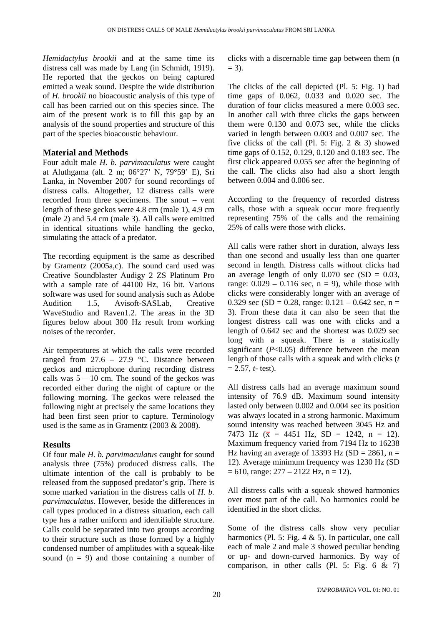*Hemidactylus brookii* and at the same time its distress call was made by Lang (in Schmidt, 1919). He reported that the geckos on being captured emitted a weak sound. Despite the wide distribution of *H. brookii* no bioacoustic analysis of this type of call has been carried out on this species since. The aim of the present work is to fill this gap by an analysis of the sound properties and structure of this part of the species bioacoustic behaviour.

## **Material and Methods**

Four adult male *H. b. parvimaculatus* were caught at Aluthgama (alt. 2 m; 06°27' N, 79°59' E), Sri Lanka, in November 2007 for sound recordings of distress calls. Altogether, 12 distress calls were recorded from three specimens. The snout – vent length of these geckos were 4.8 cm (male 1), 4.9 cm (male 2) and 5.4 cm (male 3). All calls were emitted in identical situations while handling the gecko, simulating the attack of a predator.

The recording equipment is the same as described by Gramentz (2005a,c). The sound card used was Creative Soundblaster Audigy 2 ZS Platinum Pro with a sample rate of 44100 Hz, 16 bit. Various software was used for sound analysis such as Adobe Audition 1.5, Avisoft-SASLab, Creative WaveStudio and Raven1.2. The areas in the 3D figures below about 300 Hz result from working noises of the recorder.

Air temperatures at which the calls were recorded ranged from  $27.6 - 27.9$  °C. Distance between geckos and microphone during recording distress calls was  $5 - 10$  cm. The sound of the geckos was recorded either during the night of capture or the following morning. The geckos were released the following night at precisely the same locations they had been first seen prior to capture. Terminology used is the same as in Gramentz (2003 & 2008).

### **Results**

Of four male *H. b. parvimaculatus* caught for sound analysis three (75%) produced distress calls. The ultimate intention of the call is probably to be released from the supposed predator's grip. There is some marked variation in the distress calls of *H. b. parvimaculatus*. However, beside the differences in call types produced in a distress situation, each call type has a rather uniform and identifiable structure. Calls could be separated into two groups according to their structure such as those formed by a highly condensed number of amplitudes with a squeak-like sound  $(n = 9)$  and those containing a number of clicks with a discernable time gap between them (n  $= 3$ ).

The clicks of the call depicted (Pl. 5: Fig. 1) had time gaps of 0.062, 0.033 and 0.020 sec. The duration of four clicks measured a mere 0.003 sec. In another call with three clicks the gaps between them were 0.130 and 0.073 sec, while the clicks varied in length between 0.003 and 0.007 sec. The five clicks of the call (Pl. 5: Fig. 2  $\&$  3) showed time gaps of 0.152, 0.129, 0.120 and 0.183 sec. The first click appeared 0.055 sec after the beginning of the call. The clicks also had also a short length between 0.004 and 0.006 sec.

According to the frequency of recorded distress calls, those with a squeak occur more frequently representing 75% of the calls and the remaining 25% of calls were those with clicks.

All calls were rather short in duration, always less than one second and usually less than one quarter second in length. Distress calls without clicks had an average length of only  $0.070$  sec  $(SD = 0.03$ , range:  $0.029 - 0.116$  sec,  $n = 9$ ), while those with clicks were considerably longer with an average of 0.329 sec (SD = 0.28, range:  $0.121 - 0.642$  sec, n = 3). From these data it can also be seen that the longest distress call was one with clicks and a length of 0.642 sec and the shortest was 0.029 sec long with a squeak. There is a statistically significant  $(P<0.05)$  difference between the mean length of those calls with a squeak and with clicks (*t*  $= 2.57$ , *t*- test).

All distress calls had an average maximum sound intensity of 76.9 dB. Maximum sound intensity lasted only between 0.002 and 0.004 sec its position was always located in a strong harmonic. Maximum sound intensity was reached between 3045 Hz and 7473 Hz  $(\bar{x} = 4451 \text{ Hz}, \text{ SD} = 1242, \text{ n} = 12)$ . Maximum frequency varied from 7194 Hz to 16238 Hz having an average of 13393 Hz (SD = 2861, n = 12). Average minimum frequency was 1230 Hz (SD  $= 610$ , range:  $277 - 2122$  Hz, n = 12).

All distress calls with a squeak showed harmonics over most part of the call. No harmonics could be identified in the short clicks.

Some of the distress calls show very peculiar harmonics (Pl. 5: Fig.  $4 \& 5$ ). In particular, one call each of male 2 and male 3 showed peculiar bending or up- and down-curved harmonics. By way of comparison, in other calls (Pl. 5: Fig. 6 & 7)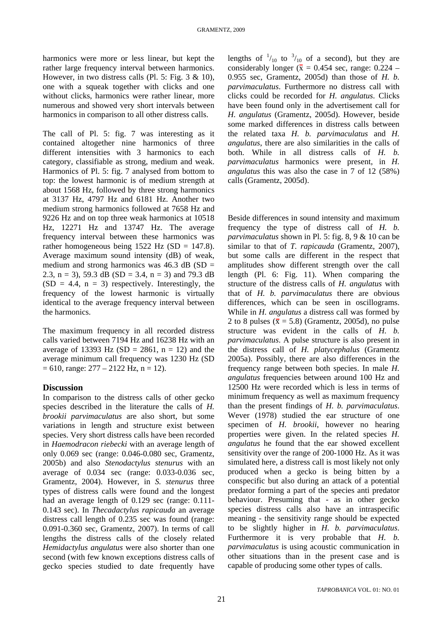harmonics were more or less linear, but kept the rather large frequency interval between harmonics. However, in two distress calls (Pl. 5: Fig.  $3 \& 10$ ), one with a squeak together with clicks and one without clicks, harmonics were rather linear, more numerous and showed very short intervals between harmonics in comparison to all other distress calls.

The call of Pl. 5: fig. 7 was interesting as it contained altogether nine harmonics of three different intensities with 3 harmonics to each category, classifiable as strong, medium and weak. Harmonics of Pl. 5: fig. 7 analysed from bottom to top: the lowest harmonic is of medium strength at about 1568 Hz, followed by three strong harmonics at 3137 Hz, 4797 Hz and 6181 Hz. Another two medium strong harmonics followed at 7658 Hz and 9226 Hz and on top three weak harmonics at 10518 Hz, 12271 Hz and 13747 Hz. The average frequency interval between these harmonics was rather homogeneous being  $1522$  Hz (SD = 147.8). Average maximum sound intensity (dB) of weak, medium and strong harmonics was  $46.3$  dB (SD = 2.3, n = 3), 59.3 dB (SD = 3.4, n = 3) and 79.3 dB  $(SD = 4.4, n = 3)$  respectively. Interestingly, the frequency of the lowest harmonic is virtually identical to the average frequency interval between the harmonics.

The maximum frequency in all recorded distress calls varied between 7194 Hz and 16238 Hz with an average of 13393 Hz  $(SD = 2861, n = 12)$  and the average minimum call frequency was 1230 Hz (SD  $= 610$ , range:  $277 - 2122$  Hz, n = 12).

### **Discussion**

In comparison to the distress calls of other gecko species described in the literature the calls of *H. brookii parvimaculatus* are also short, but some variations in length and structure exist between species. Very short distress calls have been recorded in *Haemodracon riebecki* with an average length of only 0.069 sec (range: 0.046-0.080 sec, Gramentz, 2005b) and also *Stenodactylus stenurus* with an average of 0.034 sec (range: 0.033-0.036 sec, Gramentz, 2004). However, in *S. stenurus* three types of distress calls were found and the longest had an average length of 0.129 sec (range: 0.111- 0.143 sec). In *Thecadactylus rapicauda* an average distress call length of 0.235 sec was found (range: 0.091-0.360 sec, Gramentz, 2007). In terms of call lengths the distress calls of the closely related *Hemidactylus angulatus* were also shorter than one second (with few known exceptions distress calls of gecko species studied to date frequently have

lengths of  $\frac{1}{10}$  to  $\frac{3}{10}$  of a second), but they are considerably longer ( $\bar{x} = 0.454$  sec, range: 0.224 – 0.955 sec, Gramentz, 2005d) than those of *H. b. parvimaculatus*. Furthermore no distress call with clicks could be recorded for *H. angulatus*. Clicks have been found only in the advertisement call for *H. angulatus* (Gramentz, 2005d). However, beside some marked differences in distress calls between the related taxa *H. b. parvimaculatus* and *H. angulatus*, there are also similarities in the calls of both. While in all distress calls of *H. b. parvimaculatus* harmonics were present, in *H. angulatus* this was also the case in 7 of 12 (58%) calls (Gramentz, 2005d).

Beside differences in sound intensity and maximum frequency the type of distress call of *H. b. parvimaculatus* shown in Pl. 5: fig. 8, 9 & 10 can be similar to that of *T. rapicauda* (Gramentz, 2007), but some calls are different in the respect that amplitudes show different strength over the call length (Pl. 6: Fig. 11). When comparing the structure of the distress calls of *H. angulatus* with that of *H. b. parvimaculatus* there are obvious differences, which can be seen in oscillograms. While in *H. angulatus* a distress call was formed by 2 to 8 pulses ( $\bar{x}$  = 5.8) (Gramentz, 2005d), no pulse structure was evident in the calls of *H. b. parvimaculatus*. A pulse structure is also present in the distress call of *H. platycephalus* (Gramentz 2005a). Possibly, there are also differences in the frequency range between both species. In male *H. angulatus* frequencies between around 100 Hz and 12500 Hz were recorded which is less in terms of minimum frequency as well as maximum frequency than the present findings of *H. b. parvimaculatus*. Wever (1978) studied the ear structure of one specimen of *H. brookii*, however no hearing properties were given. In the related species *H. angulatus* he found that the ear showed excellent sensitivity over the range of 200-1000 Hz. As it was simulated here, a distress call is most likely not only produced when a gecko is being bitten by a conspecific but also during an attack of a potential predator forming a part of the species anti predator behaviour. Presuming that - as in other gecko species distress calls also have an intraspecific meaning - the sensitivity range should be expected to be slightly higher in *H. b. parvimaculatus*. Furthermore it is very probable that *H. b. parvimaculatus* is using acoustic communication in other situations than in the present case and is capable of producing some other types of calls.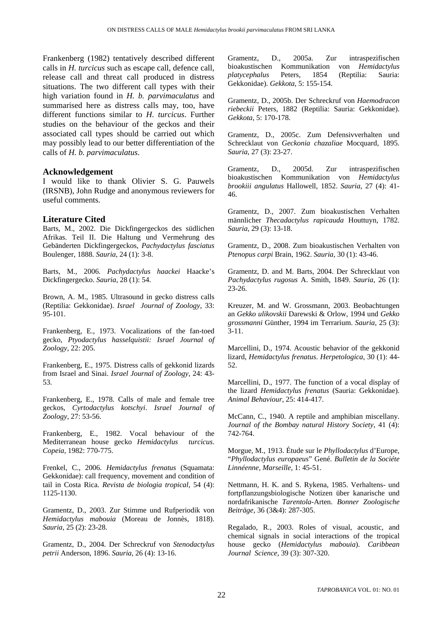Frankenberg (1982) tentatively described different calls in *H. turcicus* such as escape call, defence call, release call and threat call produced in distress situations. The two different call types with their high variation found in *H. b. parvimaculatus* and summarised here as distress calls may, too, have different functions similar to *H. turcicus*. Further studies on the behaviour of the geckos and their associated call types should be carried out which may possibly lead to our better differentiation of the calls of *H. b. parvimaculatus*.

#### **Acknowledgement**

I would like to thank Olivier S. G. Pauwels (IRSNB), John Rudge and anonymous reviewers for useful comments.

#### **Literature Cited**

Barts, M., 2002. Die Dickfingergeckos des südlichen Afrikas. Teil II. Die Haltung und Vermehrung des Gebänderten Dickfingergeckos, *Pachydactylus fasciatus* Boulenger, 1888. *Sauria*, 24 (1): 3-8.

Barts, M., 2006. *Pachydactylus haackei* Haacke's Dickfingergecko. *Sauria*, 28 (1): 54.

Brown, A. M., 1985. Ultrasound in gecko distress calls (Reptilia: Gekkonidae). *Israel Journal of Zoology*, 33: 95-101.

Frankenberg, E., 1973. Vocalizations of the fan-toed gecko, *Ptyodactylus hasselquistii: Israel Journal of Zoology*, 22: 205.

Frankenberg, E., 1975. Distress calls of gekkonid lizards from Israel and Sinai. *Israel Journal of Zoology*, 24: 43- 53.

Frankenberg, E., 1978. Calls of male and female tree geckos, *Cyrtodactylus kotschyi*. *Israel Journal of Zoology*, 27: 53-56.

Frankenberg, E., 1982. Vocal behaviour of the Mediterranean house gecko *Hemidactylus turcicus*. *Copeia*, 1982: 770-775.

Frenkel, C., 2006. *Hemidactylus frenatus* (Squamata: Gekkonidae): call frequency, movement and condition of tail in Costa Rica. *Revista de biologia tropical*, 54 (4): 1125-1130.

Gramentz, D., 2003. Zur Stimme und Rufperiodik von *Hemidactylus mabouia* (Moreau de Jonnès, 1818). *Sauria*, 25 (2): 23-28.

Gramentz, D., 2004. Der Schreckruf von *Stenodactylus petrii* Anderson, 1896. *Sauria*, 26 (4): 13-16.

Gramentz, D., 2005a. Zur intraspezifischen bioakustischen Kommunikation von *Hemidactylus platycephalus* Peters, 1854 (Reptilia: Sauria: Gekkonidae). *Gekkota*, 5: 155-154.

Gramentz, D., 2005b. Der Schreckruf von *Haemodracon riebeckii* Peters, 1882 (Reptilia: Sauria: Gekkonidae). *Gekkota*, 5: 170-178.

Gramentz, D., 2005c. Zum Defensivverhalten und Schrecklaut von *Geckonia chazaliae* Mocquard, 1895. *Sauria*, 27 (3): 23-27.

Gramentz, D., 2005d. Zur intraspezifischen bioakustischen Kommunikation von *Hemidactylus brookiii angulatus* Hallowell, 1852. *Sauria*, 27 (4): 41- 46.

Gramentz, D., 2007. Zum bioakustischen Verhalten männlicher *Thecadactylus rapicauda* Houttuyn, 1782. *Sauria*, 29 (3): 13-18.

Gramentz, D., 2008. Zum bioakustischen Verhalten von *Ptenopus carpi* Brain, 1962. *Sauria*, 30 (1): 43-46.

Gramentz, D. and M. Barts, 2004. Der Schrecklaut von *Pachydactylus rugosus* A. Smith, 1849. *Sauria*, 26 (1): 23-26.

Kreuzer, M. and W. Grossmann, 2003. Beobachtungen an *Gekko ulikovskii* Darewski & Orlow, 1994 und *Gekko grossmanni* Günther, 1994 im Terrarium. *Sauria*, 25 (3): 3-11.

Marcellini, D., 1974. Acoustic behavior of the gekkonid lizard, *Hemidactylus frenatus*. *Herpetologica*, 30 (1): 44- 52.

Marcellini, D., 1977. The function of a vocal display of the lizard *Hemidactylus frenatus* (Sauria: Gekkonidae). *Animal Behaviour*, 25: 414-417.

McCann, C., 1940. A reptile and amphibian miscellany. *Journal of the Bombay natural History Society*, 41 (4): 742-764.

Morgue, M., 1913. Étude sur le *Phyllodactylus* d'Europe, "*Phyllodactylus europaeus*" Gené. *Bulletin de la Sociéte Linnéenne, Marseille*, 1: 45-51.

Nettmann, H. K. and S. Rykena, 1985. Verhaltens- und fortpflanzungsbiologische Notizen über kanarische und nordafrikanische *Tarentola*-Arten. *Bonner Zoologische Beiträge*, 36 (3&4): 287-305.

Regalado, R., 2003. Roles of visual, acoustic, and chemical signals in social interactions of the tropical house gecko (*Hemidactylus mabouia*). *Caribbean Journal Science*, 39 (3): 307-320.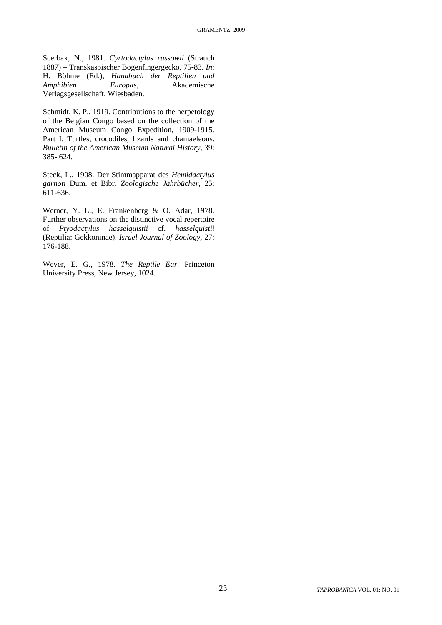Scerbak, N., 1981. *Cyrtodactylus russowii* (Strauch 1887) – Transkaspischer Bogenfingergecko. 75-83. *In*: H. Böhme (Ed.), *Handbuch der Reptilien und Amphibien Europas*, Akademische Verlagsgesellschaft, Wiesbaden.

Schmidt, K. P., 1919. Contributions to the herpetology of the Belgian Congo based on the collection of the American Museum Congo Expedition, 1909-1915. Part I. Turtles, crocodiles, lizards and chamaeleons. *Bulletin of the American Museum Natural History*, 39: 385- 624.

Steck, L., 1908. Der Stimmapparat des *Hemidactylus garnoti* Dum. et Bibr. *Zoologische Jahrbücher*, 25: 611-636.

Werner, Y. L., E. Frankenberg & O. Adar, 1978. Further observations on the distinctive vocal repertoire of *Ptyodactylus hasselquistii* cf. *hasselquistii* (Reptilia: Gekkoninae). *Israel Journal of Zoology*, 27: 176-188.

Wever, E. G., 1978. *The Reptile Ear*. Princeton University Press, New Jersey, 1024.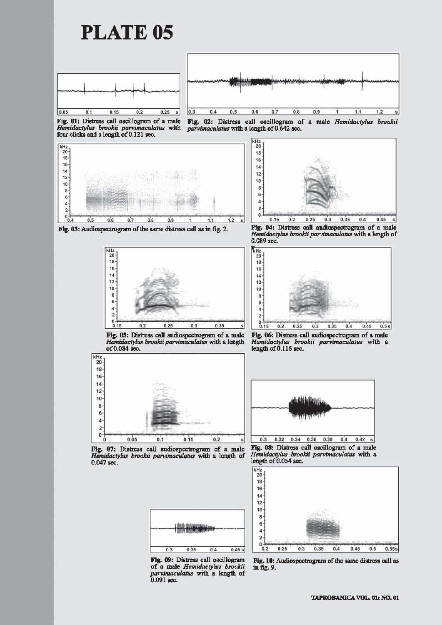

**PLATE 05** 



Fig. 01: Distress call oscillogram of a male Hemidactylus brookii parvimaculatus with four clicks and a length of 0.121 sec.



Fig. 02: Distress call oscillogram of a male Hemidactylus brookii parvimaculatus with a length of 0.642 sec.

 $20$ 18  $16<sup>1</sup>$  $14$  $12<sup>°</sup>$  $10<sup>1</sup>$  $\bf{8}$  $6$  $\overline{A}$  $\overline{a}$  $\mathbf{0}$  $0.35$  $0.45$  $0.15$  $0.2$  $0.25$  $0.3$  $0.4$ 

Fig. 03: Audiospectrogram of the same distress call as in fig. 2.



Fig. 04: Distress call audiospectrogram of a male Hemidactylus brookii parvimaculatus with a length of 0.089 sec.



Fig. 05: Distress call audiospectrogram of a male Hemidactylus brookii parvimaculatus with a length of 0.084 sec.



Fig. 06: Distress call audiospectrogram of a male Hemidactylus brookii parvimaculatus with a length of 0.116 sec.



Fig. 07: Distress call audiospectrogram of a male Hemidactylus brookii parvimaculatus with a length of 0.047 sec.

 $\overline{0.3}$ 

Fig. 08: Distress call oscillogram of a male Hemidactylus brookii parvimaculatus with a length of 0.054 sec.



Fig. 09: Distress call oscillogram of a male Hemidactylus brookii parvimaculatus with a length of 0.091 sec.

 $0.35$ 

Fig. 10: Audiospectrogram of the same distress call as in fig. 9.

 $0.5$ 

 $0.55s$